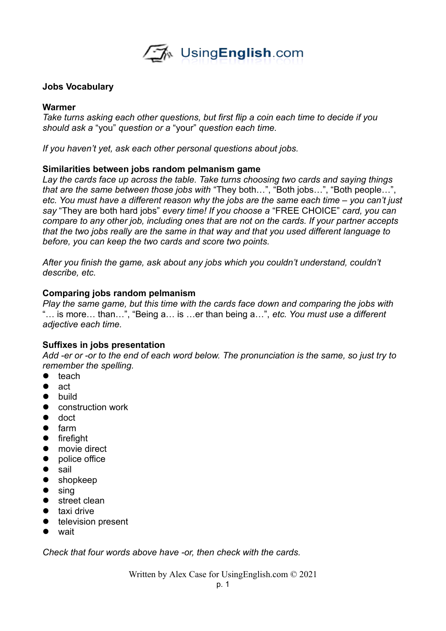**A** Using English.com

### **Jobs Vocabulary**

#### **Warmer**

*Take turns asking each other questions, but first flip a coin each time to decide if you should ask a* "you" *question or a* "your" *question each time.*

*If you haven't yet, ask each other personal questions about jobs.* 

### **Similarities between jobs random pelmanism game**

*Lay the cards face up across the table. Take turns choosing two cards and saying things that are the same between those jobs with* "They both…", "Both jobs…", "Both people…", *etc. You must have a different reason why the jobs are the same each time – you can't just say* "They are both hard jobs" *every time! If you choose a* "FREE CHOICE" *card, you can compare to any other job, including ones that are not on the cards. If your partner accepts that the two jobs really are the same in that way and that you used different language to before, you can keep the two cards and score two points.* 

*After you finish the game, ask about any jobs which you couldn't understand, couldn't describe, etc.* 

### **Comparing jobs random pelmanism**

*Play the same game, but this time with the cards face down and comparing the jobs with*  "… is more… than…", "Being a… is …er than being a…", *etc. You must use a different adjective each time.* 

## **Suffixes in jobs presentation**

*Add -er or -or to the end of each word below. The pronunciation is the same, so just try to remember the spelling.* 

- $\bullet$  teach
- $\bullet$  act
- **•** build
- construction work
- doct
- **•** farm
- **•** firefight
- movie direct
- police office
- $\bullet$  sail
- **•** shopkeep
- $\bullet$  sing
- street clean
- **•** taxi drive
- **•** television present
- wait

*Check that four words above have -or, then check with the cards.* 

Written by Alex Case for UsingEnglish.com © 2021